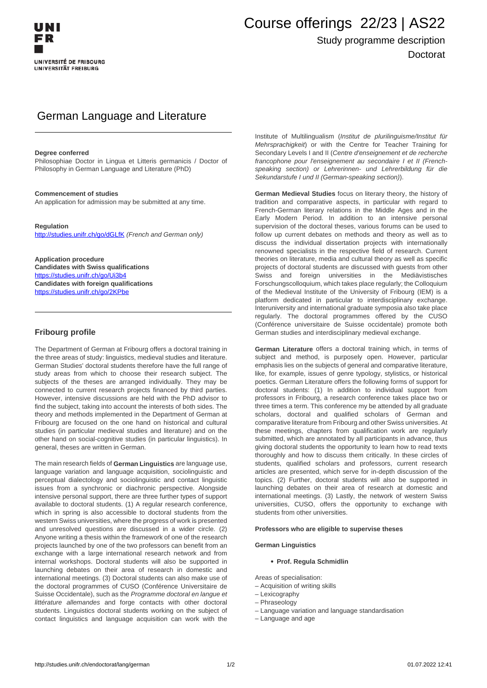# Course offerings 22/23 | AS22

# Study programme description Doctorat

# German Language and Literature

#### **Degree conferred**

Philosophiae Doctor in Lingua et Litteris germanicis / Doctor of Philosophy in German Language and Literature (PhD)

#### **Commencement of studies**

An application for admission may be submitted at any time.

#### **Regulation**

<http://studies.unifr.ch/go/dGLfK> (French and German only)

**Application procedure Candidates with Swiss qualifications** https://studies.unifr.ch/go/Ui3b4 **Candidates with foreign qualifications** https://studies.unifr.ch/go/2KPbe

### **Fribourg profile**

The Department of German at Fribourg offers a doctoral training in the three areas of study: linguistics, medieval studies and literature. German Studies' doctoral students therefore have the full range of study areas from which to choose their research subject. The subjects of the theses are arranged individually. They may be connected to current research projects financed by third parties. However, intensive discussions are held with the PhD advisor to find the subject, taking into account the interests of both sides. The theory and methods implemented in the Department of German at Fribourg are focused on the one hand on historical and cultural studies (in particular medieval studies and literature) and on the other hand on social-cognitive studies (in particular linguistics). In general, theses are written in German.

The main research fields of **German Linguistics** are language use, language variation and language acquisition, sociolinguistic and perceptual dialectology and sociolinguistic and contact linguistic issues from a synchronic or diachronic perspective. Alongside intensive personal support, there are three further types of support available to doctoral students. (1) A regular research conference, which in spring is also accessible to doctoral students from the western Swiss universities, where the progress of work is presented and unresolved questions are discussed in a wider circle. (2) Anyone writing a thesis within the framework of one of the research projects launched by one of the two professors can benefit from an exchange with a large international research network and from internal workshops. Doctoral students will also be supported in launching debates on their area of research in domestic and international meetings. (3) Doctoral students can also make use of the doctoral programmes of CUSO (Conférence Universitaire de Suisse Occidentale), such as the Programme doctoral en langue et littérature allemandes and forge contacts with other doctoral students. Linguistics doctoral students working on the subject of contact linguistics and language acquisition can work with the

Institute of Multilingualism (Institut de plurilinguisme/Institut für Mehrsprachigkeit) or with the Centre for Teacher Training for Secondary Levels I and II (Centre d'enseignement et de recherche francophone pour l'enseignement au secondaire I et II (Frenchspeaking section) or Lehrerinnen- und Lehrerbildung für die Sekundarstufe I und II (German-speaking section)).

**German Medieval Studies** focus on literary theory, the history of tradition and comparative aspects, in particular with regard to French-German literary relations in the Middle Ages and in the Early Modern Period. In addition to an intensive personal supervision of the doctoral theses, various forums can be used to follow up current debates on methods and theory as well as to discuss the individual dissertation projects with internationally renowned specialists in the respective field of research. Current theories on literature, media and cultural theory as well as specific projects of doctoral students are discussed with guests from other Swiss and foreign universities in the Mediävistisches Forschungscolloquium, which takes place regularly; the Colloquium of the Medieval Institute of the University of Fribourg (IEM) is a platform dedicated in particular to interdisciplinary exchange. Interuniversity and international graduate symposia also take place regularly. The doctoral programmes offered by the CUSO (Conférence universitaire de Suisse occidentale) promote both German studies and interdisciplinary medieval exchange.

**German Literature** offers a doctoral training which, in terms of subject and method, is purposely open. However, particular emphasis lies on the subjects of general and comparative literature, like, for example, issues of genre typology, stylistics, or historical poetics. German Literature offers the following forms of support for doctoral students: (1) In addition to individual support from professors in Fribourg, a research conference takes place two or three times a term. This conference my be attended by all graduate scholars, doctoral and qualified scholars of German and comparative literature from Fribourg and other Swiss universities. At these meetings, chapters from qualification work are regularly submitted, which are annotated by all participants in advance, thus giving doctoral students the opportunity to learn how to read texts thoroughly and how to discuss them critically. In these circles of students, qualified scholars and professors, current research articles are presented, which serve for in-depth discussion of the topics. (2) Further, doctoral students will also be supported in launching debates on their area of research at domestic and international meetings. (3) Lastly, the network of western Swiss universities, CUSO, offers the opportunity to exchange with students from other universities.

#### **Professors who are eligible to supervise theses**

#### **German Linguistics**

#### **Prof. Regula Schmidlin**

Areas of specialisation:

- Acquisition of writing skills
- Lexicography
- Phraseology
- Language variation and language standardisation
- Language and age